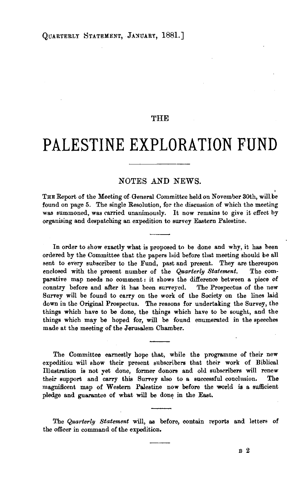## THE

# **PALESTINE EXPLORATION FUND**

NOTES AND NEWS.<br>THE Report of the Meeting of General Committee held on November 30th, will be found on page 5. The single Resolution, for the discussion of which the meeting was summoned, was carried unanimously. It now remains to give it effect by organising and despatching an expedition to survey Eastern Palestine.

In order to show exactly what is proposed to be done and why, it has been ordered by the Committee that the papers laid before that meeting should be all sent to every subscriber to the Fund, past and present. They are thereupon enclosed with the present number of the *Quarterlg Statement.* The comparative map needs no comment : it shows the difference between a piece of country before and after it has been surveyed. The Prospectus of the new Survey will be found to carry on the work of the Society on the lines laid down in the Original Prospectus. The reasons for undertaking the Survey, the things which have to be done, the things which have to be sought, and the things which may be hoped for, will be found enumerated in the speeches made at the meeting of the Jerusalem Chamber.

The Committee earnestly hope that, while the programme of their new expedition will show their present subscribers that their work of Biblical Illustration is not vet done, former donors and old subscribers will renew their support and carry this Survey also to a successful conclusion. The magnificent map of Western Palestine now before the world is a sufficient pledge and guarantee of what will be done in the East.

The *Quarterly Statement* will, as before, contain reports and letters of the officer in command of the expedition.

B 2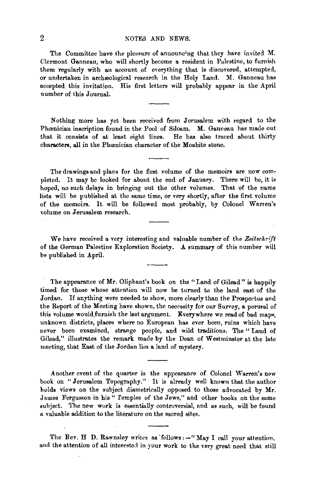## 2 NOTES AND NEWS.

The Committee have the pleasure of announcing that they have invited M. Clermont Ganneau, who will shortly become a resident in Palestine, to furnish them regularly with an account of everything that is discovered, attempted, or undertaken in archæological research in the Holy Land. M. Ganneau has accepted this invitation. His first letters will probably appear in the April number of this Journal.

Nothing more has yet been received from Jerusalem with regard to the Phœnician inscription found in the Pool of Siloam. M. Ganneau has made out that it consists of at least eight lines. He has also traced about thirty characters, all in the Phoonician character of the Moabite stone.

The drawings and plans for the first volume of the memoirs are now completed. It may be looked for about the end of January. There will be, it is hoped, no such delays in bringing out the other volumes. That of the name lists will be published at the same time, or very shortly, after the first volume of the memoirs. It will be followed most probably, by Colonel Warren's volume on Jerusalem research.

We have received a very interesting and valuable number of the Zeitschrift of the German Palestine Exploration Society. A summary of this number will be published in April.

The appearance of Mr. Oliphant's book on the "Land of Gilead" is happily timed for those whose attention will now be turned to the land east of the Jordan. If anything were needed to show, more clearly than the Prospectus and the Report of the Meeting have shown, the necessity for our Survey, a perusal of this volume would furnish the last argument. Everywhere we read of bad maps, unknown districts, places where no European has ever been, ruins which have never been examined, strange people, and wild traditions. The " Land of Gilead," illustrates the remark made by the Dean of Westminster at the late meeting, that East of the Jordan lies a land of mystery.

Another event of the quarter is the appearance of Colonel Warren's new book on "Jerusalem Topography." It is already well known that the author holds views on the subject diametrically opposed to those advocated by Mr. James Fergusson in his " lemples of the Jews," and other books on the same subject. The new work is essentially controversial, and as such, will be found a valuable addition to the literature on the sacred sites.

The Rev. H D. Rawnsley writes as follows: - "May I call your attention, and the attention of all interested in your work to the very great need that still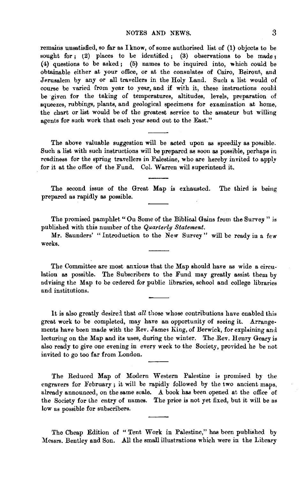remains unsatisfied, so far as I know, of some authorised list of (1) objects to be sought for; (2) places to be identified; (3) observations to be made; (4) questions to be asked; (5) names to be inquired into, which could be obtainable either at your office, or at the consulates of Cairo, Beirout, and Jerusalem by any or all travellers in the Holy Land. Such a list would of course be varied from year to year, and if with it, these instructions could be given for the taking of temperatures, altitudes, levels, preparation of squeezes, rubbings, plants, and geological specimens for examination at home, the chart or list would be of the greatest service to the amateur but willing agents for such work that each year send out to the East."

The above valuable suggestion will be acted upon as speedily as possible. Such a list with such instructions will be prepared as soon as possible, perhaps in readiness for the spring travellers in Palestine, who are hereby invited to apply for it at the office of the Fund. CoL Warren will superintend it.

The second issue of the Great Map is exhausted. The third is being prepared as rapidly as possible.

The promised pamphlet "On Some of the Biblical Gains from the Survey " is published with this number of the *Quarterly Statement*.

Mr. Saunders' "Introduction to the New Survey" will be ready in a few weeks.

The Committee are most anxious that the Map should have as wide a circu· lation as possible. The Subscribers to the Fund may greatly assist them by advising the Map to be ordered for public libraries, school and college libraries and institutions.

It is also greatly desired that *all* those whose contributions have enabled this great work to be completed, may have an opportunity of seeing it. Arrange· ments have been made with the Rev. James King, of Berwick, for explaining and lecturing on the Map and its uses, during the winter. The Rev. Henry Geary is also ready to give one evening in every week to the Society, provided he be not invited to go too far from London.

The Reduced Map of Modern Western Palestine is promised by the engravers for February; it will be rapidly followed by the two ancient maps, already announced, on the same scale. A book has been opened at the office of the Society for the entry of names. The price is not yet fixed, but it will be as low as possible for subscribers.

The Cheap Edition of "Tent Work in Palestine," has been published by :Messrs. Bentley and Son. All the small illustrations which were in the Library